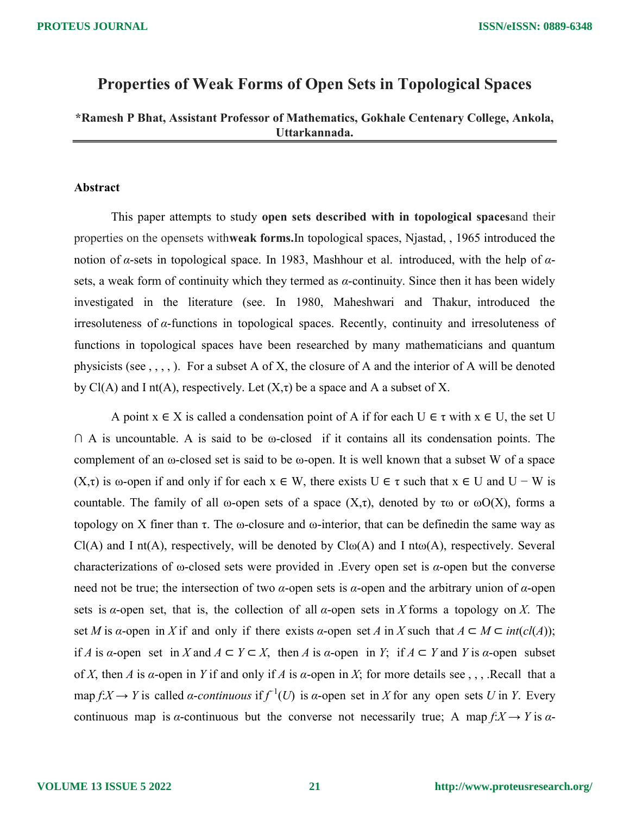# Properties of Weak Forms of Open Sets in Topological Spaces

# \*Ramesh P Bhat, Assistant Professor of Mathematics, Gokhale Centenary College, Ankola, Uttarkannada.

### Abstract

This paper attempts to study open sets described with in topological spacesand their properties on the opensets withweak forms.In topological spaces, Njastad, , 1965 introduced the notion of α-sets in topological space. In 1983, Mashhour et al. introduced, with the help of  $α$ sets, a weak form of continuity which they termed as  $\alpha$ -continuity. Since then it has been widely investigated in the literature (see. In 1980, Maheshwari and Thakur, introduced the irresoluteness of α-functions in topological spaces. Recently, continuity and irresoluteness of functions in topological spaces have been researched by many mathematicians and quantum physicists (see , , , , ). For a subset A of X, the closure of A and the interior of A will be denoted by Cl(A) and I nt(A), respectively. Let  $(X,\tau)$  be a space and A a subset of X.

A point  $x \in X$  is called a condensation point of A if for each  $U \in \tau$  with  $x \in U$ , the set U  $\cap$  A is uncountable. A is said to be  $\omega$ -closed if it contains all its condensation points. The complement of an ω-closed set is said to be ω-open. It is well known that a subset W of a space (X,τ) is  $\omega$ -open if and only if for each  $x \in W$ , there exists  $U \in \tau$  such that  $x \in U$  and  $U - W$  is countable. The family of all  $\omega$ -open sets of a space  $(X,\tau)$ , denoted by  $\tau\omega$  or  $\omega O(X)$ , forms a topology on X finer than τ. The ω-closure and ω-interior, that can be defined in the same way as  $Cl(A)$  and I nt(A), respectively, will be denoted by  $Cl<sub>0</sub>(A)$  and I nt $\omega(A)$ , respectively. Several characterizations of  $\omega$ -closed sets were provided in . Every open set is  $\alpha$ -open but the converse need not be true; the intersection of two  $α$ -open sets is  $α$ -open and the arbitrary union of  $α$ -open sets is  $\alpha$ -open set, that is, the collection of all  $\alpha$ -open sets in X forms a topology on X. The set M is a-open in X if and only if there exists a-open set A in X such that  $A \subset M \subset int(cl(A));$ if A is a-open set in X and  $A \subset Y \subset X$ , then A is a-open in Y; if  $A \subset Y$  and Y is a-open subset of X, then A is  $\alpha$ -open in Y if and only if A is  $\alpha$ -open in X; for more details see , , , .Recall that a map  $f: X \to Y$  is called  $\alpha$ -continuous if  $f^{-1}(U)$  is  $\alpha$ -open set in X for any open sets U in Y. Every continuous map is  $\alpha$ -continuous but the converse not necessarily true; A map  $f: X \to Y$  is  $\alpha$ -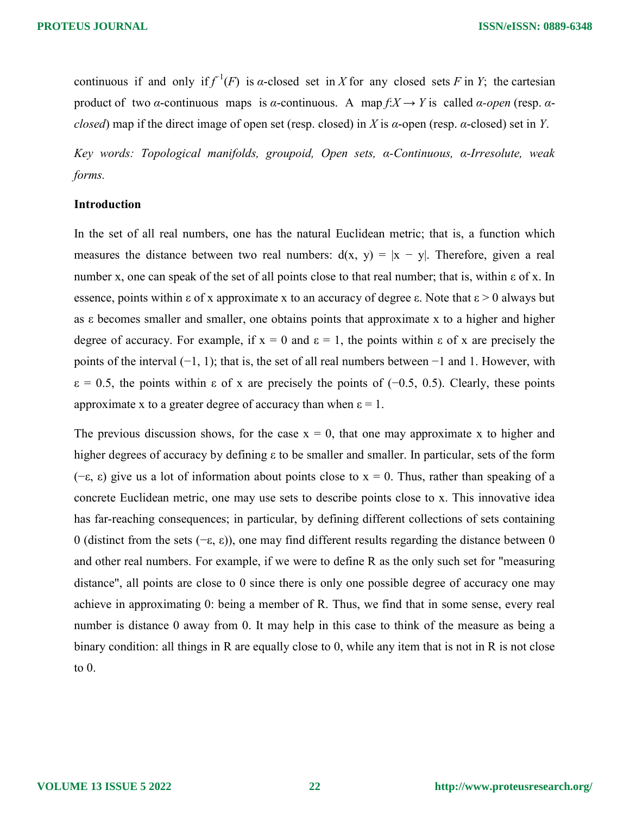continuous if and only if  $f^{-1}(F)$  is  $\alpha$ -closed set in X for any closed sets F in Y; the cartesian product of two *α*-continuous maps is *α*-continuous. A map  $f: X \to Y$  is called *α-open* (resp. *α*closed) map if the direct image of open set (resp. closed) in X is  $\alpha$ -open (resp.  $\alpha$ -closed) set in Y.

Key words: Topological manifolds, groupoid, Open sets, α-Continuous, α-Irresolute, weak forms.

### Introduction

In the set of all real numbers, one has the natural Euclidean metric; that is, a function which measures the distance between two real numbers:  $d(x, y) = |x - y|$ . Therefore, given a real number x, one can speak of the set of all points close to that real number; that is, within ε of x. In essence, points within  $\epsilon$  of x approximate x to an accuracy of degree  $\epsilon$ . Note that  $\epsilon > 0$  always but as ε becomes smaller and smaller, one obtains points that approximate x to a higher and higher degree of accuracy. For example, if  $x = 0$  and  $\varepsilon = 1$ , the points within  $\varepsilon$  of x are precisely the points of the interval (−1, 1); that is, the set of all real numbers between −1 and 1. However, with  $\varepsilon = 0.5$ , the points within  $\varepsilon$  of x are precisely the points of (−0.5, 0.5). Clearly, these points approximate x to a greater degree of accuracy than when  $\varepsilon = 1$ .

The previous discussion shows, for the case  $x = 0$ , that one may approximate x to higher and higher degrees of accuracy by defining ε to be smaller and smaller. In particular, sets of the form (−ε, ε) give us a lot of information about points close to x = 0. Thus, rather than speaking of a concrete Euclidean metric, one may use sets to describe points close to x. This innovative idea has far-reaching consequences; in particular, by defining different collections of sets containing 0 (distinct from the sets (−ε, ε)), one may find different results regarding the distance between 0 and other real numbers. For example, if we were to define R as the only such set for "measuring distance", all points are close to 0 since there is only one possible degree of accuracy one may achieve in approximating 0: being a member of R. Thus, we find that in some sense, every real number is distance 0 away from 0. It may help in this case to think of the measure as being a binary condition: all things in R are equally close to 0, while any item that is not in R is not close to 0.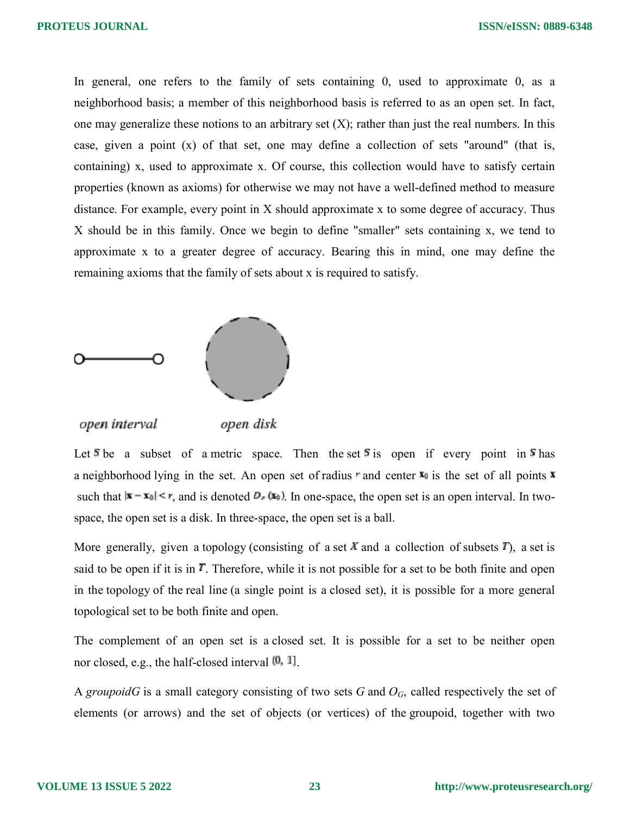In general, one refers to the family of sets containing 0, used to approximate 0, as a neighborhood basis; a member of this neighborhood basis is referred to as an open set. In fact, one may generalize these notions to an arbitrary set  $(X)$ ; rather than just the real numbers. In this case, given a point (x) of that set, one may define a collection of sets "around" (that is, containing) x, used to approximate x. Of course, this collection would have to satisfy certain properties (known as axioms) for otherwise we may not have a well-defined method to measure distance. For example, every point in X should approximate x to some degree of accuracy. Thus X should be in this family. Once we begin to define "smaller" sets containing x, we tend to approximate x to a greater degree of accuracy. Bearing this in mind, one may define the remaining axioms that the family of sets about x is required to satisfy.



open interval open disk

Let  $\overline{s}$  be a subset of a metric space. Then the set  $\overline{s}$  is open if every point in  $\overline{s}$  has a neighborhood lying in the set. An open set of radius  $r$  and center  $\mathbf{x}_0$  is the set of all points  $\mathbf{x}$ such that  $|\mathbf{x} - \mathbf{x}_0| \le r$ , and is denoted  $D_r(\mathbf{x}_0)$ . In one-space, the open set is an open interval. In twospace, the open set is a disk. In three-space, the open set is a ball.

More generally, given a topology (consisting of a set X and a collection of subsets  $T$ ), a set is said to be open if it is in  $T$ . Therefore, while it is not possible for a set to be both finite and open in the topology of the real line (a single point is a closed set), it is possible for a more general topological set to be both finite and open.

The complement of an open set is a closed set. It is possible for a set to be neither open nor closed, e.g., the half-closed interval  $[0, 1]$ .

A groupoidG is a small category consisting of two sets G and  $O<sub>G</sub>$ , called respectively the set of elements (or arrows) and the set of objects (or vertices) of the groupoid, together with two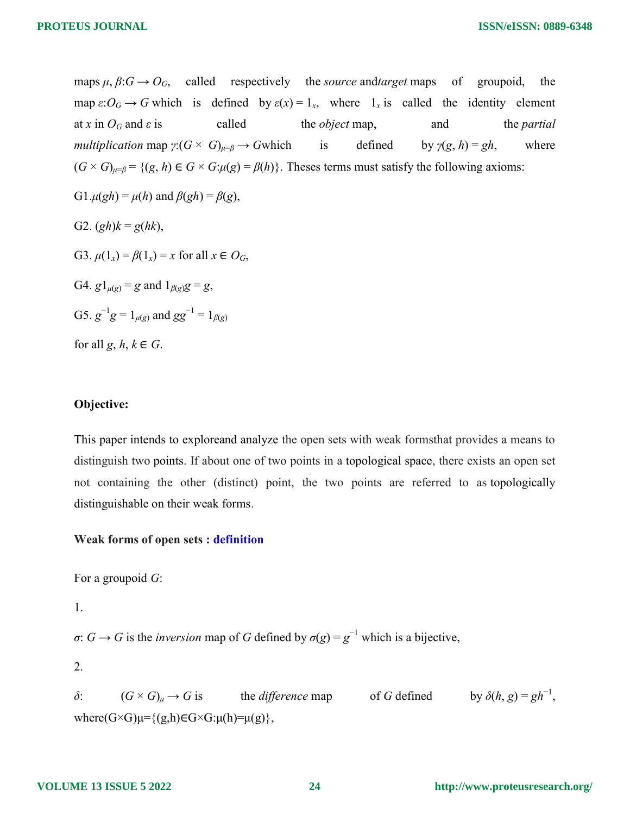maps  $\mu$ ,  $\beta$ : $G \rightarrow O_G$ , called respectively the *source* and *target* maps of groupoid, the map  $\varepsilon: O_G \to G$  which is defined by  $\varepsilon(x) = 1_x$ , where  $1_x$  is called the identity element at x in  $O_G$  and  $\varepsilon$  is called the *object* map, and the *partial* multiplication map  $\gamma: (G \times G)_{\mu=\beta} \to G$  which is defined by  $\gamma(g, h) = gh$ , where  $(G \times G)_{\mu=\beta} = \{(g, h) \in G \times G : \mu(g) = \beta(h)\}\$ . Theses terms must satisfy the following axioms: G1. $\mu(gh) = \mu(h)$  and  $\beta(gh) = \beta(g)$ ,

G2.  $(gh)k = g(hk)$ ,

G3.  $\mu(1_x) = \beta(1_x) = x$  for all  $x \in O_G$ ,

G4.  $g1_{\mu(g)} = g$  and  $1_{\beta(g)}g = g$ ,

G5.  $g^{-1}g = 1_{\mu(g)}$  and  $gg^{-1} = 1_{\beta(g)}$ 

for all  $g, h, k \in G$ .

### Objective:

This paper intends to exploreand analyze the open sets with weak formsthat provides a means to distinguish two points. If about one of two points in a topological space, there exists an open set not containing the other (distinct) point, the two points are referred to as topologically distinguishable on their weak forms.

# Weak forms of open sets : definition

For a groupoid G:

1.

 $\sigma: G \to G$  is the *inversion* map of G defined by  $\sigma(g) = g^{-1}$  which is a bijective,

2.

 $\delta$ :  $(G \times G)_{\mu} \to G$  is the *difference* map of G defined by  $\delta(h, g) = gh^{-1}$ , where( $G \times G$ ) $\mu = \{(g,h) \in G \times G : \mu(h) = \mu(g)\},\$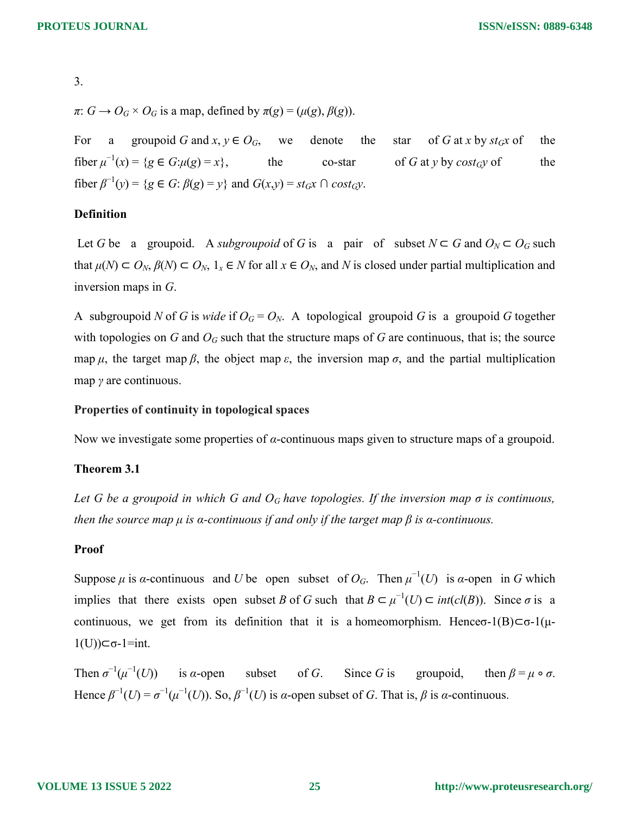3.

 $\pi: G \to O_G \times O_G$  is a map, defined by  $\pi(g) = (\mu(g), \beta(g))$ .

For a groupoid G and  $x, y \in O_G$ , we denote the star of G at x by  $st_Gx$  of the fiber  $\mu^{-1}(x) = \{g \in G : \mu(g) = x\},\$  the co-star of G at y by cost<sub>G</sub>y of the fiber  $\beta^{-1}(y) = \{ g \in G : \beta(g) = y \}$  and  $G(x,y) = st_Gx \cap cost_Gy$ .

### Definition

Let G be a groupoid. A subgroupoid of G is a pair of subset  $N \subset G$  and  $O_N \subset O_G$  such that  $\mu(N) \subset O_N$ ,  $\beta(N) \subset O_N$ ,  $1_x \in N$  for all  $x \in O_N$ , and N is closed under partial multiplication and inversion maps in G.

A subgroupoid N of G is wide if  $O_G = O_N$ . A topological groupoid G is a groupoid G together with topologies on G and  $O<sub>G</sub>$  such that the structure maps of G are continuous, that is; the source map  $\mu$ , the target map  $\beta$ , the object map  $\varepsilon$ , the inversion map  $\sigma$ , and the partial multiplication map  $\gamma$  are continuous.

# Properties of continuity in topological spaces

Now we investigate some properties of  $\alpha$ -continuous maps given to structure maps of a groupoid.

### Theorem 3.1

Let G be a groupoid in which G and  $O<sub>G</sub>$  have topologies. If the inversion map  $\sigma$  is continuous, then the source map  $\mu$  is a-continuous if and only if the target map  $\beta$  is a-continuous.

### Proof

Suppose  $\mu$  is  $\alpha$ -continuous and U be open subset of  $O_G$ . Then  $\mu^{-1}(U)$  is  $\alpha$ -open in G which implies that there exists open subset B of G such that  $B \subset \mu^{-1}(U) \subset int(cl(B))$ . Since  $\sigma$  is a continuous, we get from its definition that it is a homeomorphism. Hence  $\sigma$ -1(B)⊂ $\sigma$ -1(μ- $1(U)$ )⊂σ-1=int.

Then  $\sigma^{-1}(\mu^{-1}(U))$  is a-open subset of G. Since G is groupoid, then  $\beta = \mu \circ \sigma$ . Hence  $\beta^{-1}(U) = \sigma^{-1}(\mu^{-1}(U))$ . So,  $\beta^{-1}(U)$  is *a*-open subset of *G*. That is,  $\beta$  is *a*-continuous.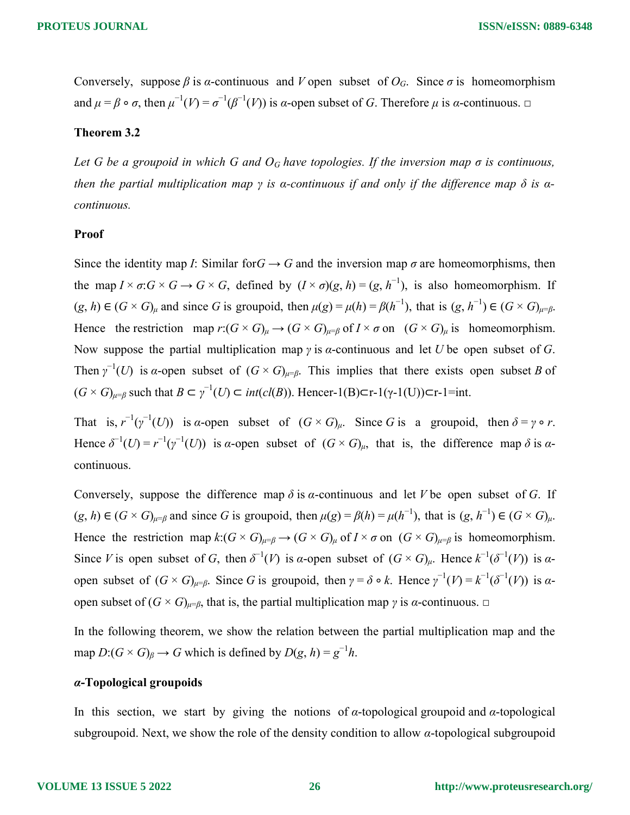Conversely, suppose  $\beta$  is  $\alpha$ -continuous and V open subset of  $O_G$ . Since  $\sigma$  is homeomorphism and  $\mu = \beta \circ \sigma$ , then  $\mu^{-1}(V) = \sigma^{-1}(\beta^{-1}(V))$  is  $\alpha$ -open subset of G. Therefore  $\mu$  is  $\alpha$ -continuous.  $\Box$ 

#### Theorem 3.2

Let G be a groupoid in which G and  $O<sub>G</sub>$  have topologies. If the inversion map  $\sigma$  is continuous, then the partial multiplication map  $\gamma$  is a-continuous if and only if the difference map  $\delta$  is acontinuous.

#### Proof

Since the identity map I: Similar for  $G \rightarrow G$  and the inversion map  $\sigma$  are homeomorphisms, then the map  $I \times \sigma$ :  $G \times G \to G \times G$ , defined by  $(I \times \sigma)(g, h) = (g, h^{-1})$ , is also homeomorphism. If  $(g, h) \in (G \times G)_{\mu}$  and since G is groupoid, then  $\mu(g) = \mu(h) = \beta(h^{-1})$ , that is  $(g, h^{-1}) \in (G \times G)_{\mu} = \beta(h)$ . Hence the restriction map  $r: (G \times G)_{\mu} \to (G \times G)_{\mu = \beta}$  of  $I \times \sigma$  on  $(G \times G)_{\mu}$  is homeomorphism. Now suppose the partial multiplication map  $\gamma$  is  $\alpha$ -continuous and let U be open subset of G. Then  $\gamma^{-1}(U)$  is a-open subset of  $(G \times G)_{\mu=\beta}$ . This implies that there exists open subset B of  $(G \times G)_{\mu=\beta}$  such that  $B \subset \gamma^{-1}(U) \subset int(cl(B))$ . Hencer-1(B) $\subset$ r-1( $\gamma$ -1(U)) $\subset$ r-1=int.

That is,  $r^{-1}(\gamma^{-1}(U))$  is  $\alpha$ -open subset of  $(G \times G)_{\mu}$ . Since G is a groupoid, then  $\delta = \gamma \circ r$ . Hence  $\delta^{-1}(U) = r^{-1}(\gamma^{-1}(U))$  is  $\alpha$ -open subset of  $(G \times G)_{\mu}$ , that is, the difference map  $\delta$  is  $\alpha$ continuous.

Conversely, suppose the difference map  $\delta$  is  $\alpha$ -continuous and let V be open subset of G. If  $(g, h) \in (G \times G)_{\mu \in \beta}$  and since G is groupoid, then  $\mu(g) = \beta(h) = \mu(h^{-1})$ , that is  $(g, h^{-1}) \in (G \times G)_{\mu}$ . Hence the restriction map  $k: (G \times G)_{\mu=\beta} \to (G \times G)_{\mu}$  of  $I \times \sigma$  on  $(G \times G)_{\mu=\beta}$  is homeomorphism. Since V is open subset of G, then  $\delta^{-1}(V)$  is a-open subset of  $(G \times G)_{\mu}$ . Hence  $k^{-1}(\delta^{-1}(V))$  is aopen subset of  $(G \times G)_{\mu=\beta}$ . Since G is groupoid, then  $\gamma = \delta \circ k$ . Hence  $\gamma^{-1}(V) = k^{-1}(\delta^{-1}(V))$  is  $\alpha$ open subset of  $(G \times G)_{\mu=\beta}$ , that is, the partial multiplication map γ is α-continuous.  $\Box$ 

In the following theorem, we show the relation between the partial multiplication map and the map  $D:(G \times G)_{\beta} \to G$  which is defined by  $D(g, h) = g^{-1}h$ .

# α-Topological groupoids

In this section, we start by giving the notions of  $\alpha$ -topological groupoid and  $\alpha$ -topological subgroupoid. Next, we show the role of the density condition to allow α-topological subgroupoid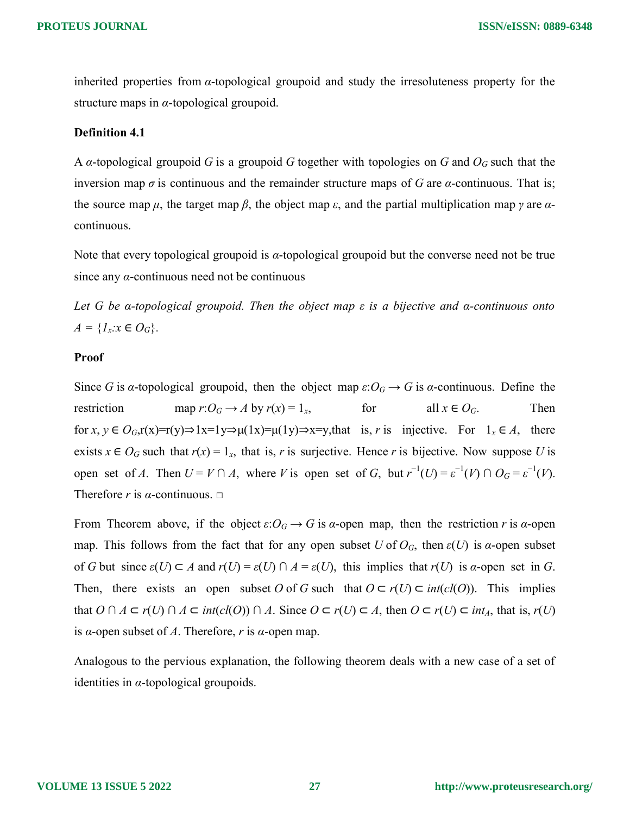inherited properties from α-topological groupoid and study the irresoluteness property for the structure maps in  $\alpha$ -topological groupoid.

#### Definition 4.1

A *α*-topological groupoid G is a groupoid G together with topologies on G and  $O<sub>G</sub>$  such that the inversion map  $\sigma$  is continuous and the remainder structure maps of G are  $\alpha$ -continuous. That is; the source map  $\mu$ , the target map  $\beta$ , the object map  $\varepsilon$ , and the partial multiplication map  $\gamma$  are  $\alpha$ continuous.

Note that every topological groupoid is  $\alpha$ -topological groupoid but the converse need not be true since any  $\alpha$ -continuous need not be continuous

Let G be  $\alpha$ -topological groupoid. Then the object map  $\varepsilon$  is a bijective and  $\alpha$ -continuous onto  $A = \{I_x : x \in O_G\}.$ 

# Proof

Since G is a-topological groupoid, then the object map  $\varepsilon: O_G \to G$  is a-continuous. Define the restriction map  $r: O_G \to A$  by  $r(x) = 1_x$ , for all  $x \in O_G$ . Then for  $x, y \in O_G$ ,  $r(x)=r(y) \Rightarrow 1x=1y \Rightarrow \mu(1x)=\mu(1y) \Rightarrow x=y$ , that is, r is injective. For  $1_x \in A$ , there exists  $x \in O_G$  such that  $r(x) = 1_x$ , that is, r is surjective. Hence r is bijective. Now suppose U is open set of A. Then  $U = V \cap A$ , where V is open set of G, but  $r^{-1}(U) = \varepsilon^{-1}(V) \cap O_G = \varepsilon^{-1}(V)$ . Therefore r is  $\alpha$ -continuous.  $\square$ 

From Theorem above, if the object  $\varepsilon: O_G \to G$  is  $\alpha$ -open map, then the restriction r is  $\alpha$ -open map. This follows from the fact that for any open subset U of  $O_G$ , then  $\varepsilon(U)$  is a-open subset of G but since  $\varepsilon(U) \subset A$  and  $r(U) = \varepsilon(U) \cap A = \varepsilon(U)$ , this implies that  $r(U)$  is  $\alpha$ -open set in G. Then, there exists an open subset O of G such that  $O \subset r(U) \subset int(cl(O))$ . This implies that  $O \cap A \subset r(U) \cap A \subset int(cl(O)) \cap A$ . Since  $O \subset r(U) \subset A$ , then  $O \subset r(U) \subset int_A$ , that is,  $r(U)$ is α-open subset of A. Therefore, r is α-open map.

Analogous to the pervious explanation, the following theorem deals with a new case of a set of identities in  $\alpha$ -topological groupoids.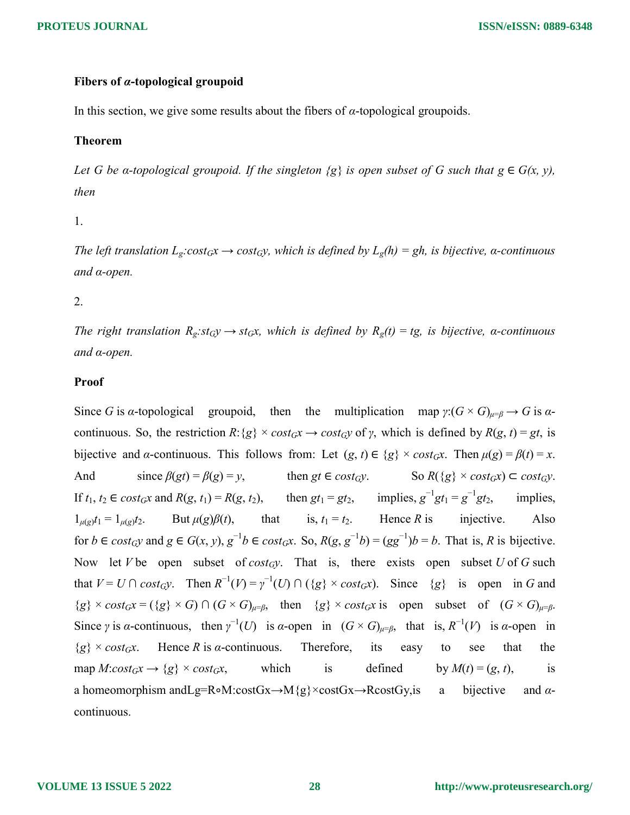# Fibers of α-topological groupoid

In this section, we give some results about the fibers of  $\alpha$ -topological groupoids.

# Theorem

Let G be a-topological groupoid. If the singleton  $\{g\}$  is open subset of G such that  $g \in G(x, y)$ , then

1.

The left translation  $L_g: cost_Gx \to cost_Gy$ , which is defined by  $L_g(h) = gh$ , is bijective, a-continuous and α-open.

2.

The right translation  $R_g: st_Gy \to st_Gx$ , which is defined by  $R_g(t) = tg$ , is bijective, a-continuous and α-open.

### Proof

Since G is a-topological groupoid, then the multiplication map  $\gamma$ : $(G \times G)_{\mu=\beta} \to G$  is acontinuous. So, the restriction  $R: \{g\} \times cost_Gx \to cost_Gy$  of y, which is defined by  $R(g, t) = gt$ , is bijective and *α*-continuous. This follows from: Let  $(g, t) \in \{g\} \times cost_G x$ . Then  $\mu(g) = \beta(t) = x$ . And since  $\beta(gt) = \beta(g) = y$ , then gt  $\in cost_Gy$ . So  $R({g} \times cost_Gx) \subset cost_Gy$ . If  $t_1, t_2 \in \text{cost}_G x$  and  $R(g, t_1) = R(g, t_2)$ , then  $gt_1 = gt_2$ , implies,  $g^{-1}gt_1 = g^{-1}gt_2$ , implies,  $1_{\mu(g)}t_1 = 1_{\mu(g)}t_2$ . But  $\mu(g)\beta(t)$ , that is,  $t_1 = t_2$ . Hence R is injective. Also for  $b \in cost_Gy$  and  $g \in G(x, y), g^{-1}b \in cost_Gx$ . So,  $R(g, g^{-1}b) = (gg^{-1})b = b$ . That is, R is bijective. Now let V be open subset of cost<sub>G</sub>y. That is, there exists open subset U of G such that  $V = U \cap cost_G y$ . Then  $R^{-1}(V) = \gamma^{-1}(U) \cap (\{g\} \times cost_G x)$ . Since  $\{g\}$  is open in G and  ${g} \times cost_Gx = ({g} \times G) \cap (G \times G)_{\mu=\beta}$ , then  ${g} \times cost_Gx$  is open subset of  $(G \times G)_{\mu=\beta}$ . Since  $\gamma$  is  $\alpha$ -continuous, then  $\gamma^{-1}(U)$  is  $\alpha$ -open in  $(G \times G)_{\mu=\beta}$ , that is,  $R^{-1}(V)$  is  $\alpha$ -open in  ${g} \times cost_Gx$ . Hence R is a-continuous. Therefore, its easy to see that the map  $M:cost_Gx \rightarrow {g} \times cost_Gx$ , which is defined by  $M(t) = (g, t)$ , is a homeomorphism andLg=R∘M:costGx→M{g}×costGx→RcostGy,is a bijective and αcontinuous.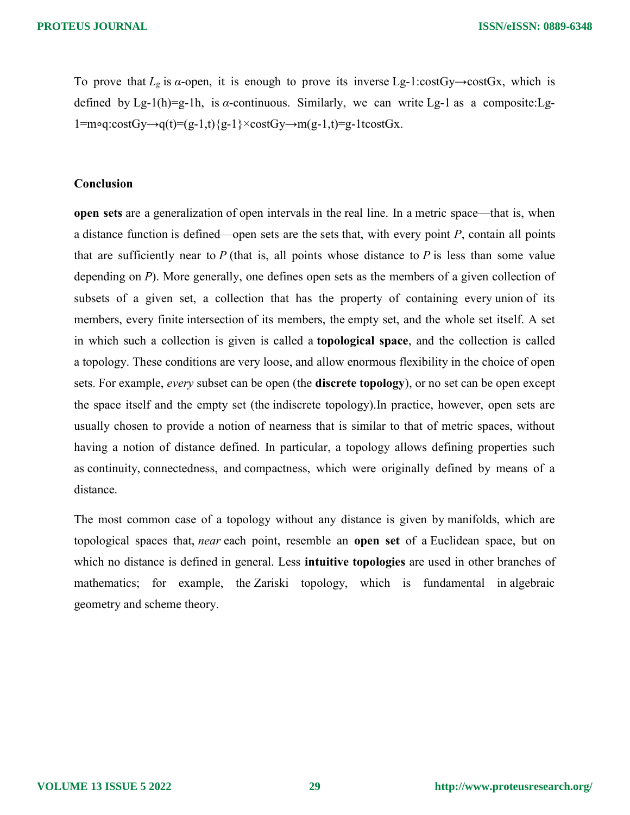To prove that  $L_g$  is  $\alpha$ -open, it is enough to prove its inverse Lg-1:costGy→costGx, which is defined by Lg-1(h)=g-1h, is  $\alpha$ -continuous. Similarly, we can write Lg-1 as a composite: Lg-1=m∘q:costGy→q(t)=(g-1,t){g-1}×costGy→m(g-1,t)=g-1tcostGx.

### Conclusion

open sets are a generalization of open intervals in the real line. In a metric space—that is, when a distance function is defined—open sets are the sets that, with every point  $P$ , contain all points that are sufficiently near to  $P$  (that is, all points whose distance to  $P$  is less than some value depending on P). More generally, one defines open sets as the members of a given collection of subsets of a given set, a collection that has the property of containing every union of its members, every finite intersection of its members, the empty set, and the whole set itself. A set in which such a collection is given is called a topological space, and the collection is called a topology. These conditions are very loose, and allow enormous flexibility in the choice of open sets. For example, *every* subset can be open (the **discrete topology**), or no set can be open except the space itself and the empty set (the indiscrete topology).In practice, however, open sets are usually chosen to provide a notion of nearness that is similar to that of metric spaces, without having a notion of distance defined. In particular, a topology allows defining properties such as continuity, connectedness, and compactness, which were originally defined by means of a distance.

The most common case of a topology without any distance is given by manifolds, which are topological spaces that, *near* each point, resemble an **open set** of a Euclidean space, but on which no distance is defined in general. Less **intuitive topologies** are used in other branches of mathematics; for example, the Zariski topology, which is fundamental in algebraic geometry and scheme theory.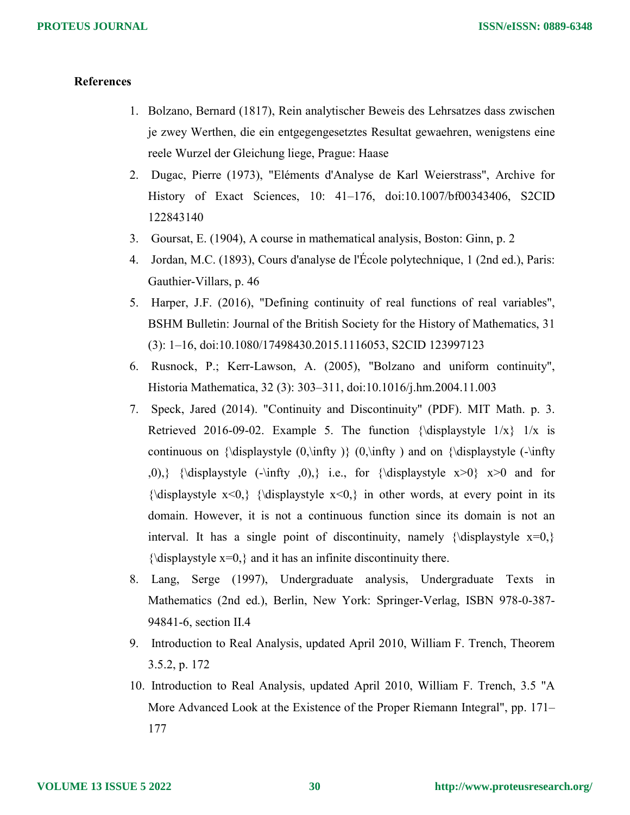# **References**

- 1. Bolzano, Bernard (1817), Rein analytischer Beweis des Lehrsatzes dass zwischen je zwey Werthen, die ein entgegengesetztes Resultat gewaehren, wenigstens eine reele Wurzel der Gleichung liege, Prague: Haase
- 2. Dugac, Pierre (1973), "Eléments d'Analyse de Karl Weierstrass", Archive for History of Exact Sciences, 10: 41–176, doi:10.1007/bf00343406, S2CID 122843140
- 3. Goursat, E. (1904), A course in mathematical analysis, Boston: Ginn, p. 2
- 4. Jordan, M.C. (1893), Cours d'analyse de l'École polytechnique, 1 (2nd ed.), Paris: Gauthier-Villars, p. 46
- 5. Harper, J.F. (2016), "Defining continuity of real functions of real variables", BSHM Bulletin: Journal of the British Society for the History of Mathematics, 31 (3): 1–16, doi:10.1080/17498430.2015.1116053, S2CID 123997123
- 6. Rusnock, P.; Kerr-Lawson, A. (2005), "Bolzano and uniform continuity", Historia Mathematica, 32 (3): 303–311, doi:10.1016/j.hm.2004.11.003
- 7. Speck, Jared (2014). "Continuity and Discontinuity" (PDF). MIT Math. p. 3. Retrieved 2016-09-02. Example 5. The function {\displaystyle  $1/x$ }  $1/x$  is continuous on  $\displaystyle{\sqrt{0,\infty}\}(0,\infty)$  and on  $\displaystyle{\sqrt{0,\infty}}$  $(0)$ ,} {\displaystyle (-\infty 0,)} i.e., for {\displaystyle x>0} x>0 and for  ${\displaystyle {\times} 0,} {\displaystyle {\times} 0,}$  in other words, at every point in its domain. However, it is not a continuous function since its domain is not an interval. It has a single point of discontinuity, namely {\displaystyle  $x=0$ ,}  ${\displaystyle {\Delta x=0,} }$  and it has an infinite discontinuity there.
- 8. Lang, Serge (1997), Undergraduate analysis, Undergraduate Texts in Mathematics (2nd ed.), Berlin, New York: Springer-Verlag, ISBN 978-0-387- 94841-6, section II.4
- 9. Introduction to Real Analysis, updated April 2010, William F. Trench, Theorem 3.5.2, p. 172
- 10. Introduction to Real Analysis, updated April 2010, William F. Trench, 3.5 "A More Advanced Look at the Existence of the Proper Riemann Integral", pp. 171– 177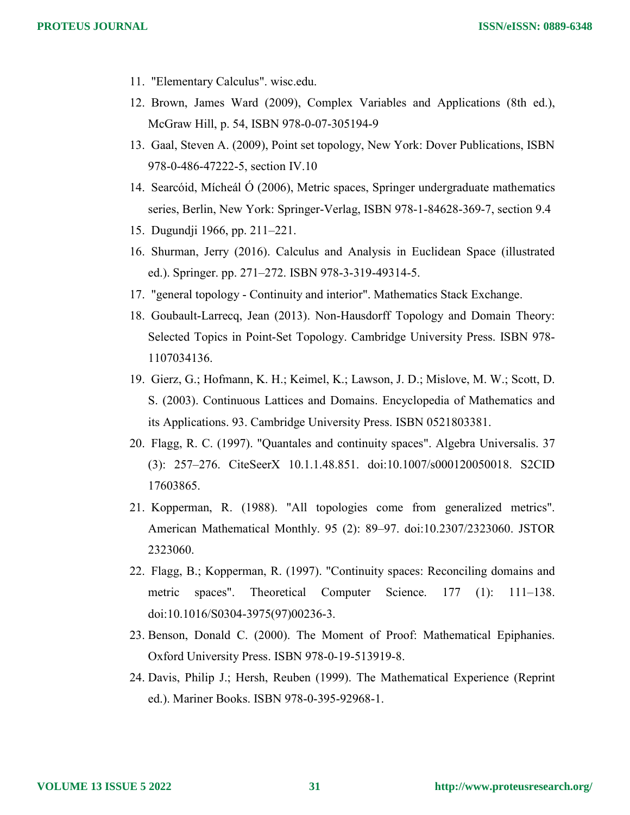- 11. "Elementary Calculus". wisc.edu.
- 12. Brown, James Ward (2009), Complex Variables and Applications (8th ed.), McGraw Hill, p. 54, ISBN 978-0-07-305194-9
- 13. Gaal, Steven A. (2009), Point set topology, New York: Dover Publications, ISBN 978-0-486-47222-5, section IV.10
- 14. Searcóid, Mícheál Ó (2006), Metric spaces, Springer undergraduate mathematics series, Berlin, New York: Springer-Verlag, ISBN 978-1-84628-369-7, section 9.4
- 15. Dugundji 1966, pp. 211–221.
- 16. Shurman, Jerry (2016). Calculus and Analysis in Euclidean Space (illustrated ed.). Springer. pp. 271–272. ISBN 978-3-319-49314-5.
- 17. "general topology Continuity and interior". Mathematics Stack Exchange.
- 18. Goubault-Larrecq, Jean (2013). Non-Hausdorff Topology and Domain Theory: Selected Topics in Point-Set Topology. Cambridge University Press. ISBN 978- 1107034136.
- 19. Gierz, G.; Hofmann, K. H.; Keimel, K.; Lawson, J. D.; Mislove, M. W.; Scott, D. S. (2003). Continuous Lattices and Domains. Encyclopedia of Mathematics and its Applications. 93. Cambridge University Press. ISBN 0521803381.
- 20. Flagg, R. C. (1997). "Quantales and continuity spaces". Algebra Universalis. 37 (3): 257–276. CiteSeerX 10.1.1.48.851. doi:10.1007/s000120050018. S2CID 17603865.
- 21. Kopperman, R. (1988). "All topologies come from generalized metrics". American Mathematical Monthly. 95 (2): 89–97. doi:10.2307/2323060. JSTOR 2323060.
- 22. Flagg, B.; Kopperman, R. (1997). "Continuity spaces: Reconciling domains and metric spaces". Theoretical Computer Science. 177 (1): 111–138. doi:10.1016/S0304-3975(97)00236-3.
- 23. Benson, Donald C. (2000). The Moment of Proof: Mathematical Epiphanies. Oxford University Press. ISBN 978-0-19-513919-8.
- 24. Davis, Philip J.; Hersh, Reuben (1999). The Mathematical Experience (Reprint ed.). Mariner Books. ISBN 978-0-395-92968-1.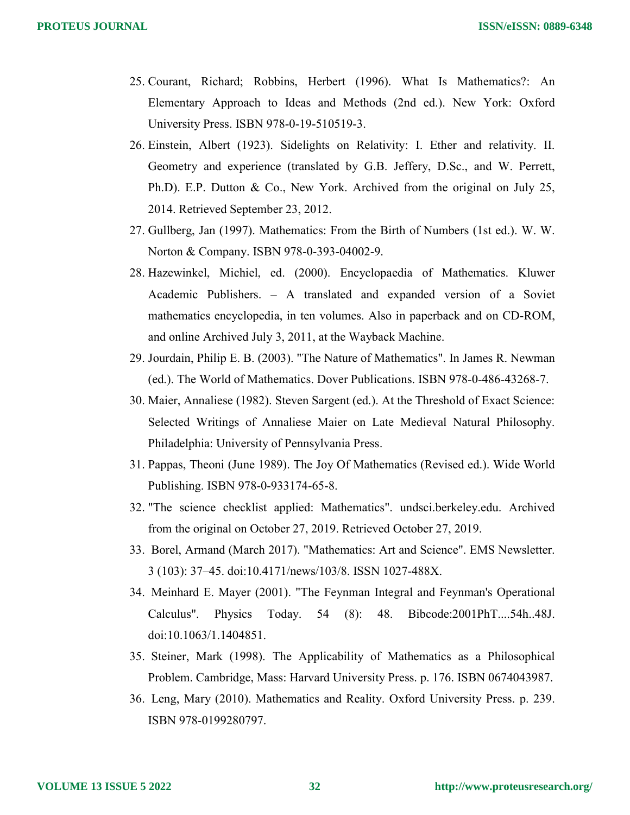- 25. Courant, Richard; Robbins, Herbert (1996). What Is Mathematics?: An Elementary Approach to Ideas and Methods (2nd ed.). New York: Oxford University Press. ISBN 978-0-19-510519-3.
- 26. Einstein, Albert (1923). Sidelights on Relativity: I. Ether and relativity. II. Geometry and experience (translated by G.B. Jeffery, D.Sc., and W. Perrett, Ph.D). E.P. Dutton & Co., New York. Archived from the original on July 25, 2014. Retrieved September 23, 2012.
- 27. Gullberg, Jan (1997). Mathematics: From the Birth of Numbers (1st ed.). W. W. Norton & Company. ISBN 978-0-393-04002-9.
- 28. Hazewinkel, Michiel, ed. (2000). Encyclopaedia of Mathematics. Kluwer Academic Publishers. – A translated and expanded version of a Soviet mathematics encyclopedia, in ten volumes. Also in paperback and on CD-ROM, and online Archived July 3, 2011, at the Wayback Machine.
- 29. Jourdain, Philip E. B. (2003). "The Nature of Mathematics". In James R. Newman (ed.). The World of Mathematics. Dover Publications. ISBN 978-0-486-43268-7.
- 30. Maier, Annaliese (1982). Steven Sargent (ed.). At the Threshold of Exact Science: Selected Writings of Annaliese Maier on Late Medieval Natural Philosophy. Philadelphia: University of Pennsylvania Press.
- 31. Pappas, Theoni (June 1989). The Joy Of Mathematics (Revised ed.). Wide World Publishing. ISBN 978-0-933174-65-8.
- 32. "The science checklist applied: Mathematics". undsci.berkeley.edu. Archived from the original on October 27, 2019. Retrieved October 27, 2019.
- 33. Borel, Armand (March 2017). "Mathematics: Art and Science". EMS Newsletter. 3 (103): 37–45. doi:10.4171/news/103/8. ISSN 1027-488X.
- 34. Meinhard E. Mayer (2001). "The Feynman Integral and Feynman's Operational Calculus". Physics Today. 54 (8): 48. Bibcode:2001PhT....54h..48J. doi:10.1063/1.1404851.
- 35. Steiner, Mark (1998). The Applicability of Mathematics as a Philosophical Problem. Cambridge, Mass: Harvard University Press. p. 176. ISBN 0674043987.
- 36. Leng, Mary (2010). Mathematics and Reality. Oxford University Press. p. 239. ISBN 978-0199280797.